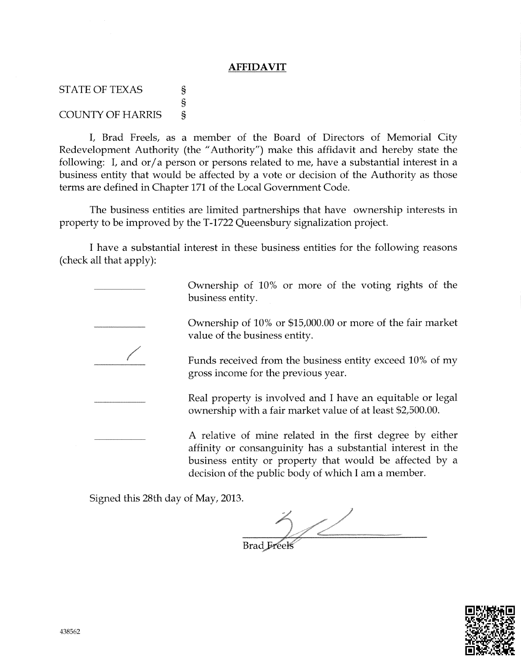## **AFFIDAVIT**

STATE OF TEXAS COUNTY OF HARRIS 3 s  $\mathbf{s}$ 

1, Brad Freels, as a member of the Board of Directors of Memorial City Redevelopment Authority (the "Authority") make this affidavit and hereby state the following: I, and  $or/a$  person or persons related to me, have a substantial interest in a business entity that would be affected by a vote or decision of the Authority as those terms are defined in Chapter 171 of the Local Government Code.

The business entities are limited partnerships that have ownership interests in property to be improved by the 7-1722 Queensbury signalization project.

I have a substantial interest in these business entities for the following reasons {check all that apply):

> Ownership of 10% or more of the voting rights of the business entity.

> Ownership of 10% or \$15,000.00 or more of the fair market value of the business entity.

> Funds received from the business entity exceed 10% of my gross income for the previous year.

> Real property is involved and I have an equitable or legal ownership with a fair market value of at least \$2,500.00.

> A relative of mine related in the first degree by either a{finity or consanguinity has a substantial interest in the business entity or property that would be affected by a decision o{ the public body of which I am a member.

Signed this 28th day of May, 2013.

Brad Freek